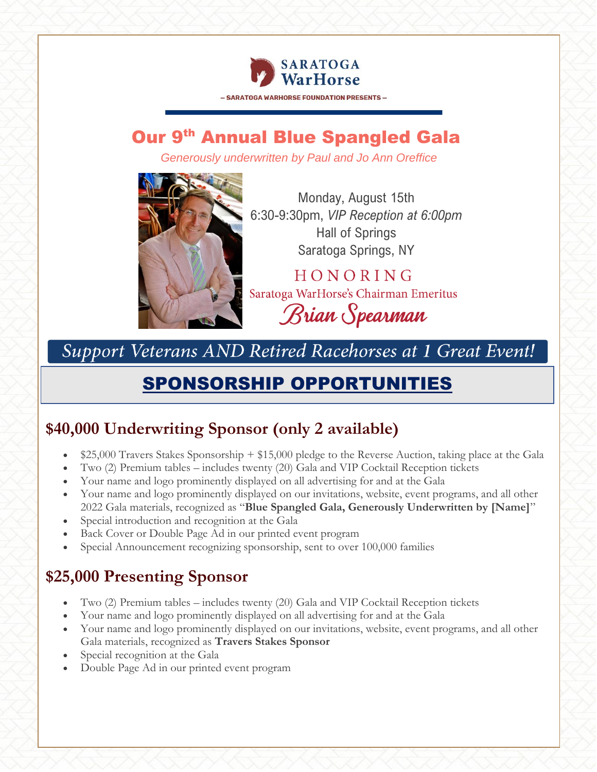

- SARATOGA WARHORSE FOUNDATION PRESENTS -

# **Our 9th Annual Blue Spangled Gala**

*Generously underwritten by Paul and Jo Ann Oreffice*



Monday, August 15th 6:30-9:30pm, *VIP Reception at 6:00pm* Hall of Springs Saratoga Springs, NY

HONORING Saratoga WarHorse's Chairman Emeritus Brian Spearman

Support Veterans AND Retired Racehorses at 1 Great Event!

# SPONSORSHIP OPPORTUNITIES

# **\$40,000 Underwriting Sponsor (only 2 available)**

- \$25,000 Travers Stakes Sponsorship + \$15,000 pledge to the Reverse Auction, taking place at the Gala
- Two (2) Premium tables includes twenty (20) Gala and VIP Cocktail Reception tickets
- Your name and logo prominently displayed on all advertising for and at the Gala
- Your name and logo prominently displayed on our invitations, website, event programs, and all other 2022 Gala materials, recognized as "**Blue Spangled Gala, Generously Underwritten by [Name]**"
- Special introduction and recognition at the Gala
- Back Cover or Double Page Ad in our printed event program
- Special Announcement recognizing sponsorship, sent to over 100,000 families

# **\$25,000 Presenting Sponsor**

- Two (2) Premium tables includes twenty (20) Gala and VIP Cocktail Reception tickets
- Your name and logo prominently displayed on all advertising for and at the Gala
- Your name and logo prominently displayed on our invitations, website, event programs, and all other Gala materials, recognized as **Travers Stakes Sponsor**
- Special recognition at the Gala
- Double Page Ad in our printed event program